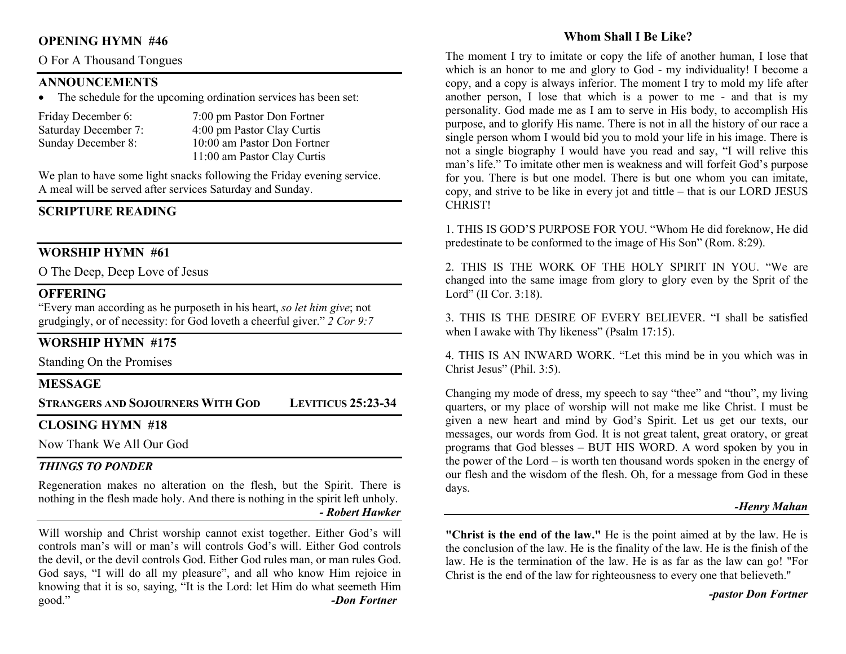#### OPENING HYMN #46

#### O For A Thousand Tongues

#### ANNOUNCEMENTS

• The schedule for the upcoming ordination services has been set:

| Friday December 6:   | 7:00 pm Pastor Don Fortner  |
|----------------------|-----------------------------|
| Saturday December 7: | 4:00 pm Pastor Clay Curtis  |
| Sunday December 8:   | 10:00 am Pastor Don Fortner |
|                      | 11:00 am Pastor Clay Curtis |

We plan to have some light snacks following the Friday evening service. A meal will be served after services Saturday and Sunday.

# SCRIPTURE READING

#### WORSHIP HYMN #61

O The Deep, Deep Love of Jesus

#### **OFFERING**

"Every man according as he purposeth in his heart, so let him give; not grudgingly, or of necessity: for God loveth a cheerful giver." 2 Cor 9:7

### WORSHIP HYMN #175

Standing On the Promises

#### **MESSAGE**

STRANGERS AND SOJOURNERS WITH GOD LEVITICUS 25:23-34

### CLOSING HYMN #18

Now Thank We All Our God

#### THINGS TO PONDER

Regeneration makes no alteration on the flesh, but the Spirit. There is nothing in the flesh made holy. And there is nothing in the spirit left unholy. - Robert Hawker

Will worship and Christ worship cannot exist together. Either God's will controls man's will or man's will controls God's will. Either God controls the devil, or the devil controls God. Either God rules man, or man rules God. God says, "I will do all my pleasure", and all who know Him rejoice in knowing that it is so, saying, "It is the Lord: let Him do what seemeth Him good." **-Don Fortner** 

### Whom Shall I Be Like?

The moment I try to imitate or copy the life of another human, I lose that which is an honor to me and glory to God - my individuality! I become a copy, and a copy is always inferior. The moment I try to mold my life after another person, I lose that which is a power to me - and that is my personality. God made me as I am to serve in His body, to accomplish His purpose, and to glorify His name. There is not in all the history of our race a single person whom I would bid you to mold your life in his image. There is not a single biography I would have you read and say, "I will relive this man's life." To imitate other men is weakness and will forfeit God's purpose for you. There is but one model. There is but one whom you can imitate, copy, and strive to be like in every jot and tittle – that is our LORD JESUS CHRIST!

1. THIS IS GOD'S PURPOSE FOR YOU. "Whom He did foreknow, He did predestinate to be conformed to the image of His Son" (Rom. 8:29).

2. THIS IS THE WORK OF THE HOLY SPIRIT IN YOU. "We are changed into the same image from glory to glory even by the Sprit of the Lord" (II Cor. 3:18).

3. THIS IS THE DESIRE OF EVERY BELIEVER. "I shall be satisfied when I awake with Thy likeness" (Psalm 17:15).

4. THIS IS AN INWARD WORK. "Let this mind be in you which was in Christ Jesus" (Phil. 3:5).

Changing my mode of dress, my speech to say "thee" and "thou", my living quarters, or my place of worship will not make me like Christ. I must be given a new heart and mind by God's Spirit. Let us get our texts, our messages, our words from God. It is not great talent, great oratory, or great programs that God blesses – BUT HIS WORD. A word spoken by you in the power of the Lord – is worth ten thousand words spoken in the energy of our flesh and the wisdom of the flesh. Oh, for a message from God in these days.

#### -Henry Mahan

"Christ is the end of the law." He is the point aimed at by the law. He is the conclusion of the law. He is the finality of the law. He is the finish of the law. He is the termination of the law. He is as far as the law can go! "For Christ is the end of the law for righteousness to every one that believeth."

#### -pastor Don Fortner